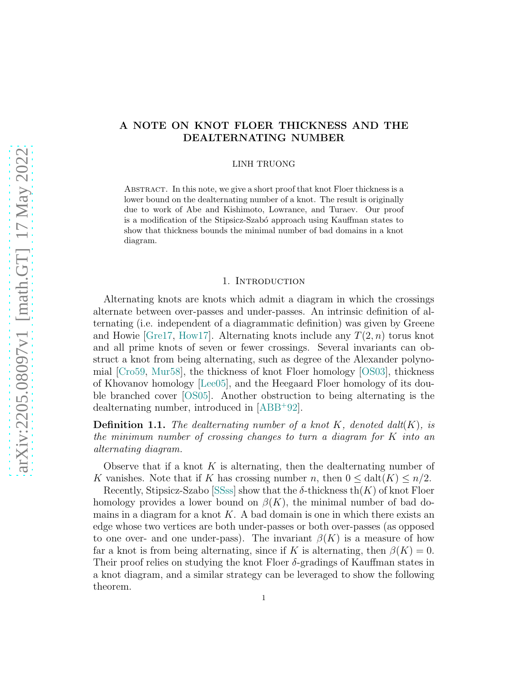# A NOTE ON KNOT FLOER THICKNESS AND THE DEALTERNATING NUMBER

LINH TRUONG

Abstract. In this note, we give a short proof that knot Floer thickness is a lower bound on the dealternating number of a knot. The result is originally due to work of Abe and Kishimoto, Lowrance, and Turaev. Our proof is a modification of the Stipsicz-Szab´o approach using Kauffman states to show that thickness bounds the minimal number of bad domains in a knot diagram.

### 1. INTRODUCTION

Alternating knots are knots which admit a diagram in which the crossings alternate between over-passes and under-passes. An intrinsic definition of alternating (i.e. independent of a diagrammatic definition) was given by Greene and Howie [\[Gre17,](#page-4-0) [How17\]](#page-4-1). Alternating knots include any  $T(2, n)$  torus knot and all prime knots of seven or fewer crossings. Several invariants can obstruct a knot from being alternating, such as degree of the Alexander polynomial [\[Cro59,](#page-4-2) [Mur58\]](#page-4-3), the thickness of knot Floer homology [\[OS03\]](#page-4-4), thickness of Khovanov homology [\[Lee05\]](#page-4-5), and the Heegaard Floer homology of its double branched cover [\[OS05\]](#page-4-6). Another obstruction to being alternating is the dealternating number, introduced in [\[ABB](#page-3-0)<sup>+</sup>92].

**Definition 1.1.** The dealternating number of a knot K, denoted dalt $(K)$ , is the minimum number of crossing changes to turn a diagram for K into an alternating diagram.

Observe that if a knot  $K$  is alternating, then the dealternating number of K vanishes. Note that if K has crossing number n, then  $0 \leq \text{dalt}(K) \leq n/2$ .

Recently, Stipsicz-Szabo [\[SSss\]](#page-4-7) show that the  $\delta$ -thickness th $(K)$  of knot Floer homology provides a lower bound on  $\beta(K)$ , the minimal number of bad domains in a diagram for a knot  $K$ . A bad domain is one in which there exists an edge whose two vertices are both under-passes or both over-passes (as opposed to one over- and one under-pass). The invariant  $\beta(K)$  is a measure of how far a knot is from being alternating, since if K is alternating, then  $\beta(K) = 0$ . Their proof relies on studying the knot Floer  $\delta$ -gradings of Kauffman states in a knot diagram, and a similar strategy can be leveraged to show the following theorem.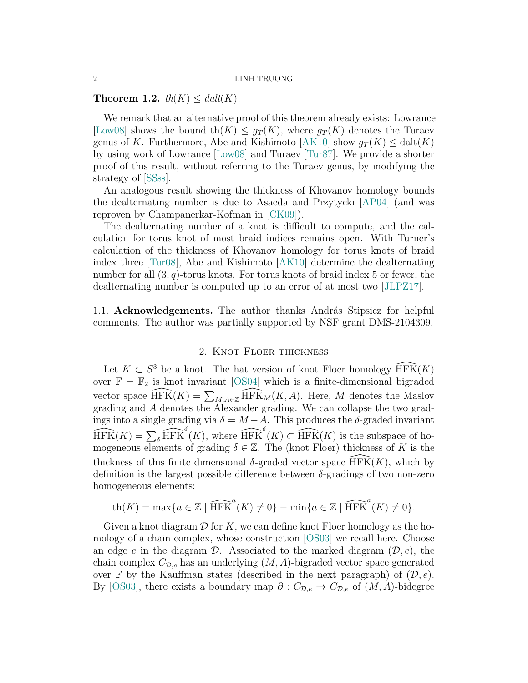### 2 LINH TRUONG

### <span id="page-1-0"></span>Theorem 1.2.  $th(K) < dalt(K)$ .

We remark that an alternative proof of this theorem already exists: Lowrance [\[Low08\]](#page-4-8) shows the bound th $(K) \leq g_T(K)$ , where  $g_T(K)$  denotes the Turaev genus of K. Furthermore, Abe and Kishimoto [\[AK10\]](#page-4-9) show  $g_T(K) \leq \text{dalt}(K)$ by using work of Lowrance [\[Low08\]](#page-4-8) and Turaev [\[Tur87\]](#page-4-10). We provide a shorter proof of this result, without referring to the Turaev genus, by modifying the strategy of [\[SSss\]](#page-4-7).

An analogous result showing the thickness of Khovanov homology bounds the dealternating number is due to Asaeda and Przytycki [\[AP04\]](#page-4-11) (and was reproven by Champanerkar-Kofman in [\[CK09\]](#page-4-12)).

The dealternating number of a knot is difficult to compute, and the calculation for torus knot of most braid indices remains open. With Turner's calculation of the thickness of Khovanov homology for torus knots of braid index three [\[Tur08\]](#page-4-13), Abe and Kishimoto [\[AK10\]](#page-4-9) determine the dealternating number for all  $(3, q)$ -torus knots. For torus knots of braid index 5 or fewer, the dealternating number is computed up to an error of at most two [\[JLPZ17\]](#page-4-14).

1.1. Acknowledgements. The author thanks András Stipsicz for helpful comments. The author was partially supported by NSF grant DMS-2104309.

## 2. Knot Floer thickness

Let  $K \subset S^3$  be a knot. The hat version of knot Floer homology  $\widehat{\text{HFK}}(K)$ over  $\mathbb{F} = \mathbb{F}_2$  is knot invariant [\[OS04\]](#page-4-15) which is a finite-dimensional bigraded vector space  $\widehat{\text{HFK}}(K) = \sum_{M,A \in \mathbb{Z}} \widehat{\text{HFK}}_M(K,A)$ . Here, M denotes the Maslov grading and A denotes the Alexander grading. We can collapse the two gradings into a single grading via  $\delta = M - A$ . This produces the  $\delta$ -graded invariant  $\widehat{\text{HFK}}(K) = \sum_{\delta} \widehat{\text{HFK}}^{\delta}(K)$ , where  $\widehat{\text{HFK}}^{\delta}(K) \subset \widehat{\text{HFK}}(K)$  is the subspace of homogeneous elements of grading  $\delta \in \mathbb{Z}$ . The (knot Floer) thickness of K is the thickness of this finite dimensional  $\delta$ -graded vector space HFK $(K)$ , which by definition is the largest possible difference between  $\delta$ -gradings of two non-zero homogeneous elements:

$$
\operatorname{th}(K) = \max\{a \in \mathbb{Z} \mid \widehat{\operatorname{HFK}}^a(K) \neq 0\} - \min\{a \in \mathbb{Z} \mid \widehat{\operatorname{HFK}}^a(K) \neq 0\}.
$$

Given a knot diagram  $\mathcal D$  for K, we can define knot Floer homology as the homology of a chain complex, whose construction [\[OS03\]](#page-4-4) we recall here. Choose an edge e in the diagram  $\mathcal{D}$ . Associated to the marked diagram  $(\mathcal{D}, e)$ , the chain complex  $C_{\mathcal{D},e}$  has an underlying  $(M, A)$ -bigraded vector space generated over  $\mathbb F$  by the Kauffman states (described in the next paragraph) of  $(\mathcal D, e)$ . By [\[OS03\]](#page-4-4), there exists a boundary map  $\partial: C_{\mathcal{D},e} \to C_{\mathcal{D},e}$  of  $(M, A)$ -bidegree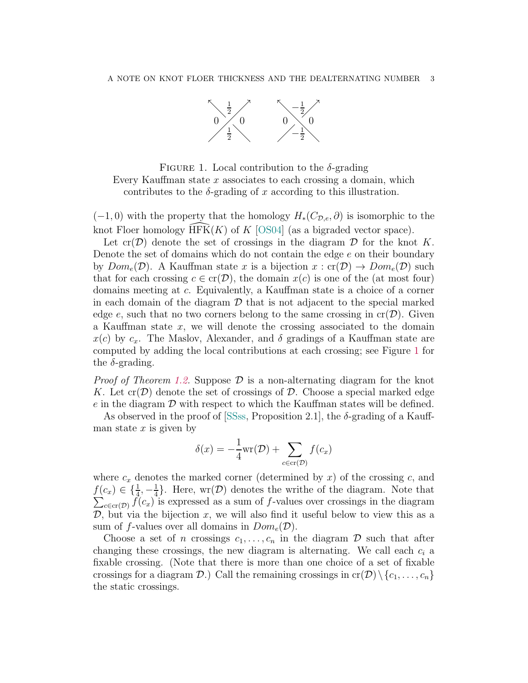<span id="page-2-0"></span>

FIGURE 1. Local contribution to the  $\delta$ -grading Every Kauffman state  $x$  associates to each crossing a domain, which contributes to the  $\delta$ -grading of x according to this illustration.

 $(-1,0)$  with the property that the homology  $H_*(C_{\mathcal{D},e},\partial)$  is isomorphic to the knot Floer homology  $HFK(K)$  of K [\[OS04\]](#page-4-15) (as a bigraded vector space).

Let  $cr(\mathcal{D})$  denote the set of crossings in the diagram  $\mathcal D$  for the knot K. Denote the set of domains which do not contain the edge e on their boundary by  $Dom_e(\mathcal{D})$ . A Kauffman state x is a bijection  $x : cr(\mathcal{D}) \to Dom_e(\mathcal{D})$  such that for each crossing  $c \in \text{cr}(\mathcal{D})$ , the domain  $x(c)$  is one of the (at most four) domains meeting at c. Equivalently, a Kauffman state is a choice of a corner in each domain of the diagram  $\mathcal D$  that is not adjacent to the special marked edge e, such that no two corners belong to the same crossing in  $cr(\mathcal{D})$ . Given a Kauffman state  $x$ , we will denote the crossing associated to the domain  $x(c)$  by  $c_x$ . The Maslov, Alexander, and  $\delta$  gradings of a Kauffman state are computed by adding the local contributions at each crossing; see Figure [1](#page-2-0) for the  $\delta$ -grading.

*Proof of Theorem [1.2.](#page-1-0)* Suppose  $\mathcal{D}$  is a non-alternating diagram for the knot K. Let  $\text{cr}(\mathcal{D})$  denote the set of crossings of  $\mathcal{D}$ . Choose a special marked edge e in the diagram  $\mathcal D$  with respect to which the Kauffman states will be defined.

As observed in the proof of  $|SSss,$  Proposition 2.1, the  $\delta$ -grading of a Kauffman state  $x$  is given by

$$
\delta(x) = -\frac{1}{4}\text{wr}(\mathcal{D}) + \sum_{c \in \text{cr}(\mathcal{D})} f(c_x)
$$

where  $c_x$  denotes the marked corner (determined by x) of the crossing c, and  $f(c_x) \in \{\frac{1}{4}, -\frac{1}{4}\}$  $\frac{1}{4}$ . Here, wr(D) denotes the writhe of the diagram. Note that  $\sum_{c \in \text{cr}(\mathcal{D})} f(c_x)$  is expressed as a sum of f-values over crossings in the diagram  $\mathcal{D}$ , but via the bijection x, we will also find it useful below to view this as a sum of f-values over all domains in  $Dom_e(\mathcal{D})$ .

Choose a set of *n* crossings  $c_1, \ldots, c_n$  in the diagram  $\mathcal D$  such that after changing these crossings, the new diagram is alternating. We call each  $c_i$  a fixable crossing. (Note that there is more than one choice of a set of fixable crossings for a diagram  $\mathcal{D}$ .) Call the remaining crossings in  $cr(\mathcal{D})\setminus\{c_1,\ldots,c_n\}$ the static crossings.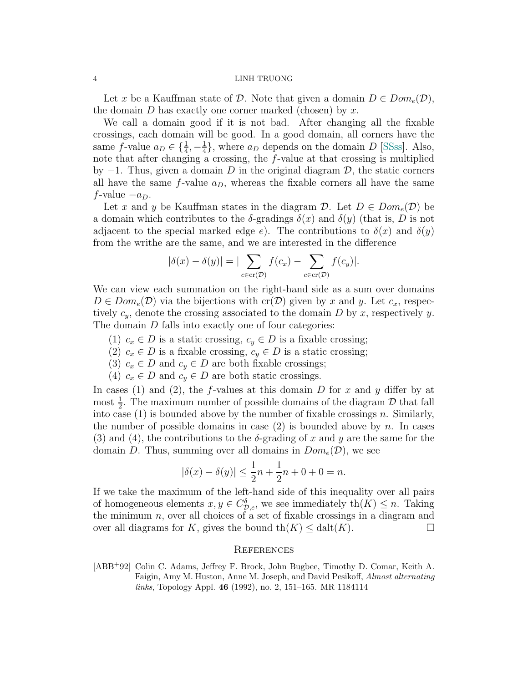### 4 LINH TRUONG

Let x be a Kauffman state of D. Note that given a domain  $D \in Dom_e(\mathcal{D})$ , the domain  $D$  has exactly one corner marked (chosen) by x.

We call a domain good if it is not bad. After changing all the fixable crossings, each domain will be good. In a good domain, all corners have the same f-value  $a_D \in \{\frac{1}{4}, -\frac{1}{4}\}$  $\frac{1}{4}$ , where  $a_D$  depends on the domain D [\[SSss\]](#page-4-7). Also, note that after changing a crossing, the f-value at that crossing is multiplied by  $-1$ . Thus, given a domain D in the original diagram D, the static corners all have the same  $f$ -value  $a_D$ , whereas the fixable corners all have the same  $f$ -value  $-a_D$ .

Let x and y be Kauffman states in the diagram  $\mathcal{D}$ . Let  $D \in Dom_{e}(\mathcal{D})$  be a domain which contributes to the  $\delta$ -gradings  $\delta(x)$  and  $\delta(y)$  (that is, D is not adjacent to the special marked edge e). The contributions to  $\delta(x)$  and  $\delta(y)$ from the writhe are the same, and we are interested in the difference

$$
|\delta(x) - \delta(y)| = |\sum_{c \in \text{cr}(\mathcal{D})} f(c_x) - \sum_{c \in \text{cr}(\mathcal{D})} f(c_y)|.
$$

We can view each summation on the right-hand side as a sum over domains  $D \in Dom_e(\mathcal{D})$  via the bijections with  $cr(\mathcal{D})$  given by x and y. Let  $c_x$ , respectively  $c_y$ , denote the crossing associated to the domain D by x, respectively y. The domain D falls into exactly one of four categories:

- (1)  $c_x \in D$  is a static crossing,  $c_y \in D$  is a fixable crossing;
- (2)  $c_x \in D$  is a fixable crossing,  $c_y \in D$  is a static crossing;
- (3)  $c_x \in D$  and  $c_y \in D$  are both fixable crossings;
- (4)  $c_x \in D$  and  $c_y \in D$  are both static crossings.

In cases (1) and (2), the f-values at this domain D for x and y differ by at most  $\frac{1}{2}$ . The maximum number of possible domains of the diagram  $\mathcal{D}$  that fall into case  $(1)$  is bounded above by the number of fixable crossings n. Similarly, the number of possible domains in case  $(2)$  is bounded above by n. In cases (3) and (4), the contributions to the  $\delta$ -grading of x and y are the same for the domain D. Thus, summing over all domains in  $Dom_e(\mathcal{D})$ , we see

$$
|\delta(x) - \delta(y)| \le \frac{1}{2}n + \frac{1}{2}n + 0 + 0 = n.
$$

If we take the maximum of the left-hand side of this inequality over all pairs of homogeneous elements  $x, y \in C_{\mathcal{D},e}^{\delta}$ , we see immediately  $\text{th}(K) \leq n$ . Taking the minimum  $n$ , over all choices of a set of fixable crossings in a diagram and over all diagrams for K, gives the bound  $\text{th}(K) \leq \text{dalt}(K)$ .

### **REFERENCES**

<span id="page-3-0"></span>[ABB<sup>+</sup>92] Colin C. Adams, Jeffrey F. Brock, John Bugbee, Timothy D. Comar, Keith A. Faigin, Amy M. Huston, Anne M. Joseph, and David Pesikoff, Almost alternating links, Topology Appl. 46 (1992), no. 2, 151–165. MR 1184114